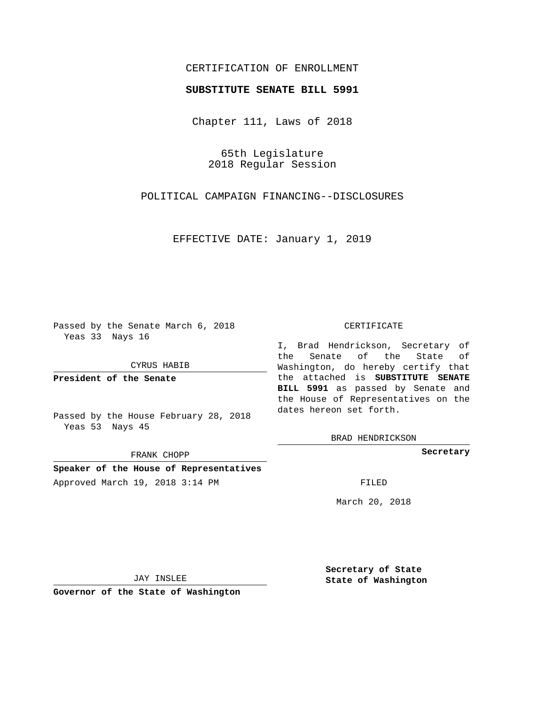## CERTIFICATION OF ENROLLMENT

## **SUBSTITUTE SENATE BILL 5991**

Chapter 111, Laws of 2018

65th Legislature 2018 Regular Session

POLITICAL CAMPAIGN FINANCING--DISCLOSURES

EFFECTIVE DATE: January 1, 2019

Passed by the Senate March 6, 2018 Yeas 33 Nays 16

CYRUS HABIB

**President of the Senate**

Passed by the House February 28, 2018 Yeas 53 Nays 45

FRANK CHOPP

**Speaker of the House of Representatives** Approved March 19, 2018 3:14 PM FILED

#### CERTIFICATE

I, Brad Hendrickson, Secretary of the Senate of the State of Washington, do hereby certify that the attached is **SUBSTITUTE SENATE BILL 5991** as passed by Senate and the House of Representatives on the dates hereon set forth.

BRAD HENDRICKSON

**Secretary**

March 20, 2018

JAY INSLEE

**Governor of the State of Washington**

**Secretary of State State of Washington**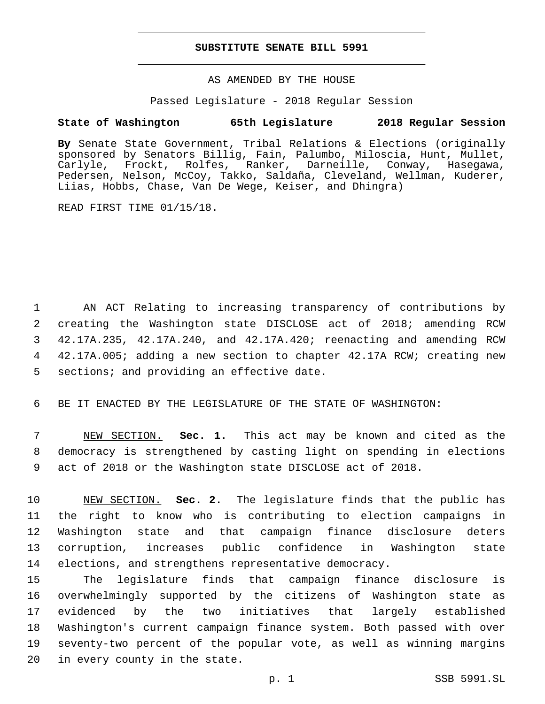### **SUBSTITUTE SENATE BILL 5991**

AS AMENDED BY THE HOUSE

Passed Legislature - 2018 Regular Session

# **State of Washington 65th Legislature 2018 Regular Session**

**By** Senate State Government, Tribal Relations & Elections (originally sponsored by Senators Billig, Fain, Palumbo, Miloscia, Hunt, Mullet, Carlyle, Frockt, Rolfes, Ranker, Darneille, Conway, Hasegawa, Pedersen, Nelson, McCoy, Takko, Saldaña, Cleveland, Wellman, Kuderer, Liias, Hobbs, Chase, Van De Wege, Keiser, and Dhingra)

READ FIRST TIME 01/15/18.

 AN ACT Relating to increasing transparency of contributions by creating the Washington state DISCLOSE act of 2018; amending RCW 42.17A.235, 42.17A.240, and 42.17A.420; reenacting and amending RCW 42.17A.005; adding a new section to chapter 42.17A RCW; creating new 5 sections; and providing an effective date.

6 BE IT ENACTED BY THE LEGISLATURE OF THE STATE OF WASHINGTON:

7 NEW SECTION. **Sec. 1.** This act may be known and cited as the 8 democracy is strengthened by casting light on spending in elections 9 act of 2018 or the Washington state DISCLOSE act of 2018.

 NEW SECTION. **Sec. 2.** The legislature finds that the public has the right to know who is contributing to election campaigns in Washington state and that campaign finance disclosure deters corruption, increases public confidence in Washington state elections, and strengthens representative democracy.

 The legislature finds that campaign finance disclosure is overwhelmingly supported by the citizens of Washington state as evidenced by the two initiatives that largely established Washington's current campaign finance system. Both passed with over seventy-two percent of the popular vote, as well as winning margins 20 in every county in the state.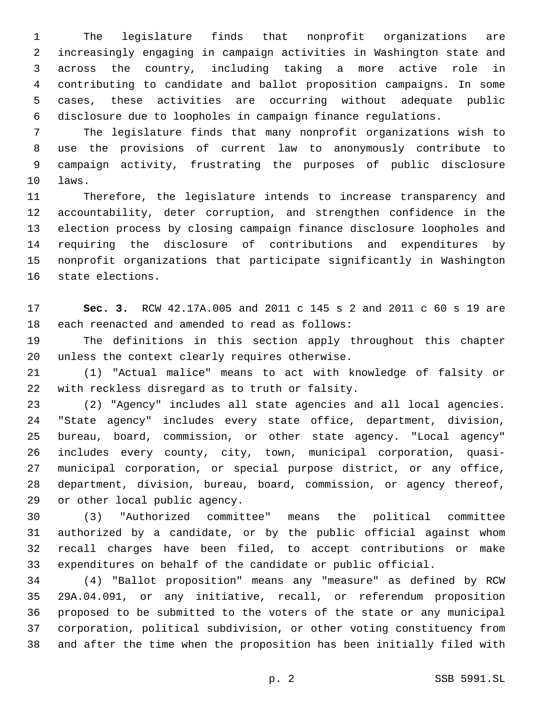The legislature finds that nonprofit organizations are increasingly engaging in campaign activities in Washington state and across the country, including taking a more active role in contributing to candidate and ballot proposition campaigns. In some cases, these activities are occurring without adequate public disclosure due to loopholes in campaign finance regulations.

 The legislature finds that many nonprofit organizations wish to use the provisions of current law to anonymously contribute to campaign activity, frustrating the purposes of public disclosure 10 laws.

 Therefore, the legislature intends to increase transparency and accountability, deter corruption, and strengthen confidence in the election process by closing campaign finance disclosure loopholes and requiring the disclosure of contributions and expenditures by nonprofit organizations that participate significantly in Washington 16 state elections.

 **Sec. 3.** RCW 42.17A.005 and 2011 c 145 s 2 and 2011 c 60 s 19 are 18 each reenacted and amended to read as follows:

 The definitions in this section apply throughout this chapter 20 unless the context clearly requires otherwise.

 (1) "Actual malice" means to act with knowledge of falsity or 22 with reckless disregard as to truth or falsity.

 (2) "Agency" includes all state agencies and all local agencies. "State agency" includes every state office, department, division, bureau, board, commission, or other state agency. "Local agency" includes every county, city, town, municipal corporation, quasi- municipal corporation, or special purpose district, or any office, department, division, bureau, board, commission, or agency thereof, 29 or other local public agency.

 (3) "Authorized committee" means the political committee authorized by a candidate, or by the public official against whom recall charges have been filed, to accept contributions or make expenditures on behalf of the candidate or public official.

 (4) "Ballot proposition" means any "measure" as defined by RCW 29A.04.091, or any initiative, recall, or referendum proposition proposed to be submitted to the voters of the state or any municipal corporation, political subdivision, or other voting constituency from and after the time when the proposition has been initially filed with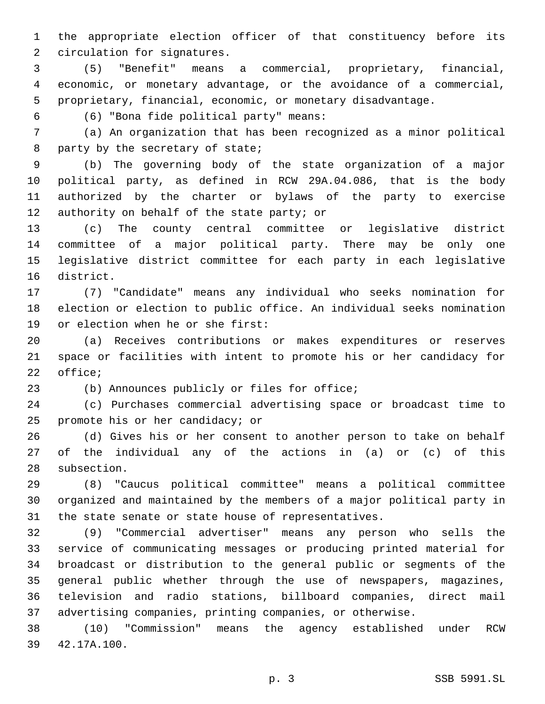the appropriate election officer of that constituency before its 2 circulation for signatures.

 (5) "Benefit" means a commercial, proprietary, financial, economic, or monetary advantage, or the avoidance of a commercial, proprietary, financial, economic, or monetary disadvantage.

(6) "Bona fide political party" means:6

 (a) An organization that has been recognized as a minor political 8 party by the secretary of state;

 (b) The governing body of the state organization of a major political party, as defined in RCW 29A.04.086, that is the body authorized by the charter or bylaws of the party to exercise 12 authority on behalf of the state party; or

 (c) The county central committee or legislative district committee of a major political party. There may be only one legislative district committee for each party in each legislative 16 district.

 (7) "Candidate" means any individual who seeks nomination for election or election to public office. An individual seeks nomination 19 or election when he or she first:

 (a) Receives contributions or makes expenditures or reserves space or facilities with intent to promote his or her candidacy for 22 office;

(b) Announces publicly or files for office;

 (c) Purchases commercial advertising space or broadcast time to 25 promote his or her candidacy; or

 (d) Gives his or her consent to another person to take on behalf of the individual any of the actions in (a) or (c) of this 28 subsection.

 (8) "Caucus political committee" means a political committee organized and maintained by the members of a major political party in the state senate or state house of representatives.

 (9) "Commercial advertiser" means any person who sells the service of communicating messages or producing printed material for broadcast or distribution to the general public or segments of the general public whether through the use of newspapers, magazines, television and radio stations, billboard companies, direct mail advertising companies, printing companies, or otherwise.

 (10) "Commission" means the agency established under RCW 42.17A.100.39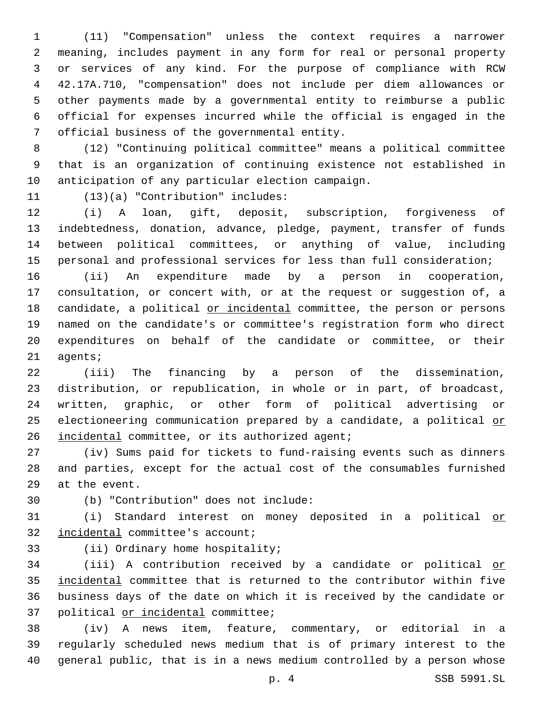(11) "Compensation" unless the context requires a narrower meaning, includes payment in any form for real or personal property or services of any kind. For the purpose of compliance with RCW 42.17A.710, "compensation" does not include per diem allowances or other payments made by a governmental entity to reimburse a public official for expenses incurred while the official is engaged in the 7 official business of the governmental entity.

 (12) "Continuing political committee" means a political committee that is an organization of continuing existence not established in 10 anticipation of any particular election campaign.

11 (13)(a) "Contribution" includes:

 (i) A loan, gift, deposit, subscription, forgiveness of indebtedness, donation, advance, pledge, payment, transfer of funds between political committees, or anything of value, including personal and professional services for less than full consideration;

 (ii) An expenditure made by a person in cooperation, consultation, or concert with, or at the request or suggestion of, a 18 candidate, a political or incidental committee, the person or persons named on the candidate's or committee's registration form who direct expenditures on behalf of the candidate or committee, or their 21 agents;

 (iii) The financing by a person of the dissemination, distribution, or republication, in whole or in part, of broadcast, written, graphic, or other form of political advertising or 25 electioneering communication prepared by a candidate, a political or 26 incidental committee, or its authorized agent;

 (iv) Sums paid for tickets to fund-raising events such as dinners and parties, except for the actual cost of the consumables furnished 29 at the event.

(b) "Contribution" does not include:30

 (i) Standard interest on money deposited in a political or 32 incidental committee's account;

33 (ii) Ordinary home hospitality;

 (iii) A contribution received by a candidate or political or incidental committee that is returned to the contributor within five business days of the date on which it is received by the candidate or 37 political or incidental committee;

 (iv) A news item, feature, commentary, or editorial in a regularly scheduled news medium that is of primary interest to the general public, that is in a news medium controlled by a person whose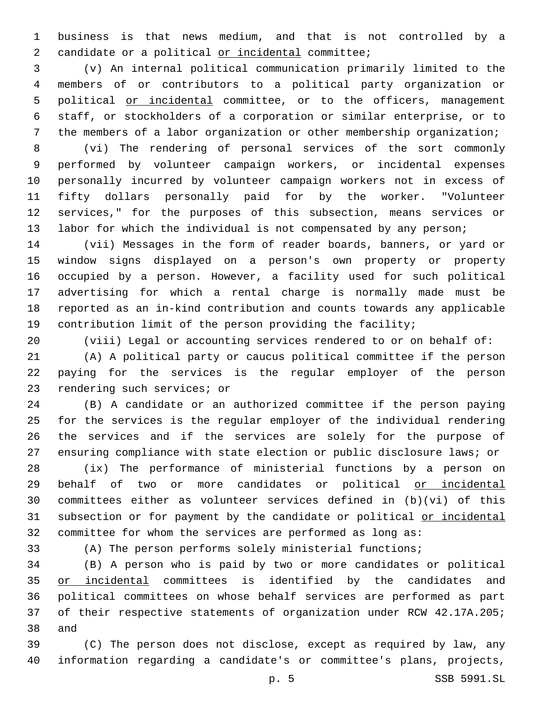business is that news medium, and that is not controlled by a 2 candidate or a political or incidental committee;

 (v) An internal political communication primarily limited to the members of or contributors to a political party organization or 5 political or incidental committee, or to the officers, management staff, or stockholders of a corporation or similar enterprise, or to the members of a labor organization or other membership organization;

 (vi) The rendering of personal services of the sort commonly performed by volunteer campaign workers, or incidental expenses personally incurred by volunteer campaign workers not in excess of fifty dollars personally paid for by the worker. "Volunteer services," for the purposes of this subsection, means services or labor for which the individual is not compensated by any person;

 (vii) Messages in the form of reader boards, banners, or yard or window signs displayed on a person's own property or property occupied by a person. However, a facility used for such political advertising for which a rental charge is normally made must be reported as an in-kind contribution and counts towards any applicable contribution limit of the person providing the facility;

(viii) Legal or accounting services rendered to or on behalf of:

 (A) A political party or caucus political committee if the person paying for the services is the regular employer of the person 23 rendering such services; or

 (B) A candidate or an authorized committee if the person paying for the services is the regular employer of the individual rendering the services and if the services are solely for the purpose of ensuring compliance with state election or public disclosure laws; or

 (ix) The performance of ministerial functions by a person on behalf of two or more candidates or political or incidental committees either as volunteer services defined in (b)(vi) of this 31 subsection or for payment by the candidate or political or incidental committee for whom the services are performed as long as:

(A) The person performs solely ministerial functions;

 (B) A person who is paid by two or more candidates or political 35 or incidental committees is identified by the candidates and political committees on whose behalf services are performed as part of their respective statements of organization under RCW 42.17A.205; 38 and

 (C) The person does not disclose, except as required by law, any information regarding a candidate's or committee's plans, projects,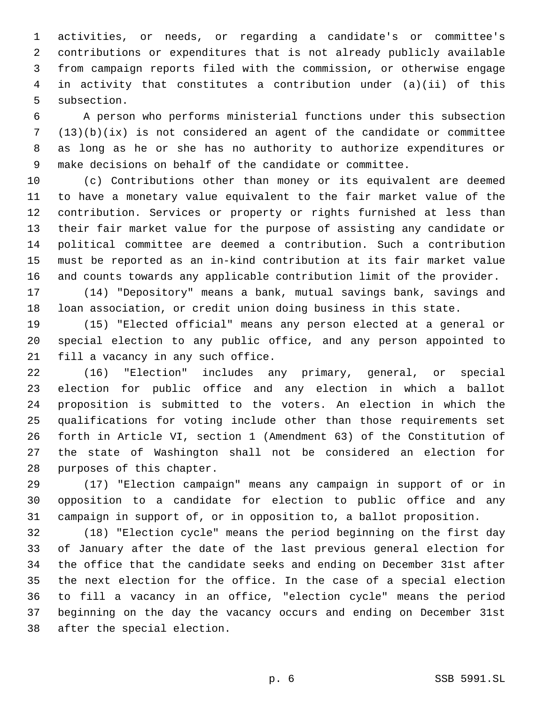activities, or needs, or regarding a candidate's or committee's contributions or expenditures that is not already publicly available from campaign reports filed with the commission, or otherwise engage in activity that constitutes a contribution under (a)(ii) of this 5 subsection.

 A person who performs ministerial functions under this subsection (13)(b)(ix) is not considered an agent of the candidate or committee as long as he or she has no authority to authorize expenditures or make decisions on behalf of the candidate or committee.

 (c) Contributions other than money or its equivalent are deemed to have a monetary value equivalent to the fair market value of the contribution. Services or property or rights furnished at less than their fair market value for the purpose of assisting any candidate or political committee are deemed a contribution. Such a contribution must be reported as an in-kind contribution at its fair market value and counts towards any applicable contribution limit of the provider.

 (14) "Depository" means a bank, mutual savings bank, savings and loan association, or credit union doing business in this state.

 (15) "Elected official" means any person elected at a general or special election to any public office, and any person appointed to 21 fill a vacancy in any such office.

 (16) "Election" includes any primary, general, or special election for public office and any election in which a ballot proposition is submitted to the voters. An election in which the qualifications for voting include other than those requirements set forth in Article VI, section 1 (Amendment 63) of the Constitution of the state of Washington shall not be considered an election for 28 purposes of this chapter.

 (17) "Election campaign" means any campaign in support of or in opposition to a candidate for election to public office and any campaign in support of, or in opposition to, a ballot proposition.

 (18) "Election cycle" means the period beginning on the first day of January after the date of the last previous general election for the office that the candidate seeks and ending on December 31st after the next election for the office. In the case of a special election to fill a vacancy in an office, "election cycle" means the period beginning on the day the vacancy occurs and ending on December 31st 38 after the special election.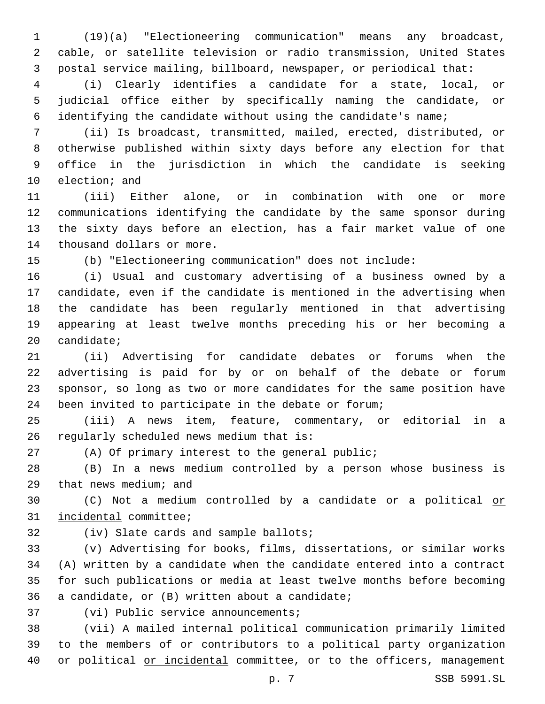(19)(a) "Electioneering communication" means any broadcast, cable, or satellite television or radio transmission, United States postal service mailing, billboard, newspaper, or periodical that:

 (i) Clearly identifies a candidate for a state, local, or judicial office either by specifically naming the candidate, or identifying the candidate without using the candidate's name;

 (ii) Is broadcast, transmitted, mailed, erected, distributed, or otherwise published within sixty days before any election for that office in the jurisdiction in which the candidate is seeking 10 election; and

 (iii) Either alone, or in combination with one or more communications identifying the candidate by the same sponsor during the sixty days before an election, has a fair market value of one 14 thousand dollars or more.

(b) "Electioneering communication" does not include:

 (i) Usual and customary advertising of a business owned by a candidate, even if the candidate is mentioned in the advertising when the candidate has been regularly mentioned in that advertising appearing at least twelve months preceding his or her becoming a candidate;

 (ii) Advertising for candidate debates or forums when the advertising is paid for by or on behalf of the debate or forum sponsor, so long as two or more candidates for the same position have been invited to participate in the debate or forum;

 (iii) A news item, feature, commentary, or editorial in a 26 regularly scheduled news medium that is:

(A) Of primary interest to the general public;

 (B) In a news medium controlled by a person whose business is 29 that news medium; and

 (C) Not a medium controlled by a candidate or a political or 31 incidental committee;

32 (iv) Slate cards and sample ballots;

 (v) Advertising for books, films, dissertations, or similar works (A) written by a candidate when the candidate entered into a contract for such publications or media at least twelve months before becoming 36 a candidate, or  $(B)$  written about a candidate;

37 (vi) Public service announcements;

 (vii) A mailed internal political communication primarily limited to the members of or contributors to a political party organization or political or incidental committee, or to the officers, management

p. 7 SSB 5991.SL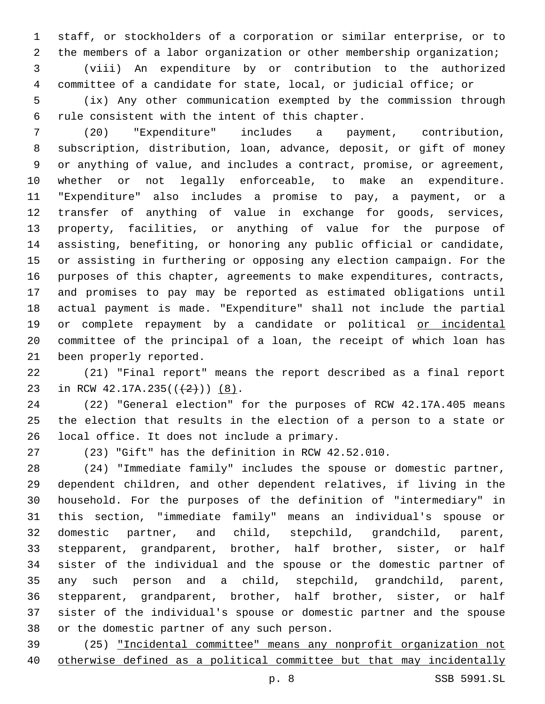staff, or stockholders of a corporation or similar enterprise, or to the members of a labor organization or other membership organization;

 (viii) An expenditure by or contribution to the authorized committee of a candidate for state, local, or judicial office; or

 (ix) Any other communication exempted by the commission through 6 rule consistent with the intent of this chapter.

 (20) "Expenditure" includes a payment, contribution, subscription, distribution, loan, advance, deposit, or gift of money or anything of value, and includes a contract, promise, or agreement, whether or not legally enforceable, to make an expenditure. "Expenditure" also includes a promise to pay, a payment, or a transfer of anything of value in exchange for goods, services, property, facilities, or anything of value for the purpose of assisting, benefiting, or honoring any public official or candidate, or assisting in furthering or opposing any election campaign. For the purposes of this chapter, agreements to make expenditures, contracts, and promises to pay may be reported as estimated obligations until actual payment is made. "Expenditure" shall not include the partial 19 or complete repayment by a candidate or political or incidental committee of the principal of a loan, the receipt of which loan has 21 been properly reported.

 (21) "Final report" means the report described as a final report 23 in RCW  $42.17A.235((+2))$  (8).

 (22) "General election" for the purposes of RCW 42.17A.405 means the election that results in the election of a person to a state or 26 local office. It does not include a primary.

(23) "Gift" has the definition in RCW 42.52.010.

 (24) "Immediate family" includes the spouse or domestic partner, dependent children, and other dependent relatives, if living in the household. For the purposes of the definition of "intermediary" in this section, "immediate family" means an individual's spouse or domestic partner, and child, stepchild, grandchild, parent, stepparent, grandparent, brother, half brother, sister, or half sister of the individual and the spouse or the domestic partner of any such person and a child, stepchild, grandchild, parent, stepparent, grandparent, brother, half brother, sister, or half sister of the individual's spouse or domestic partner and the spouse 38 or the domestic partner of any such person.

 (25) "Incidental committee" means any nonprofit organization not otherwise defined as a political committee but that may incidentally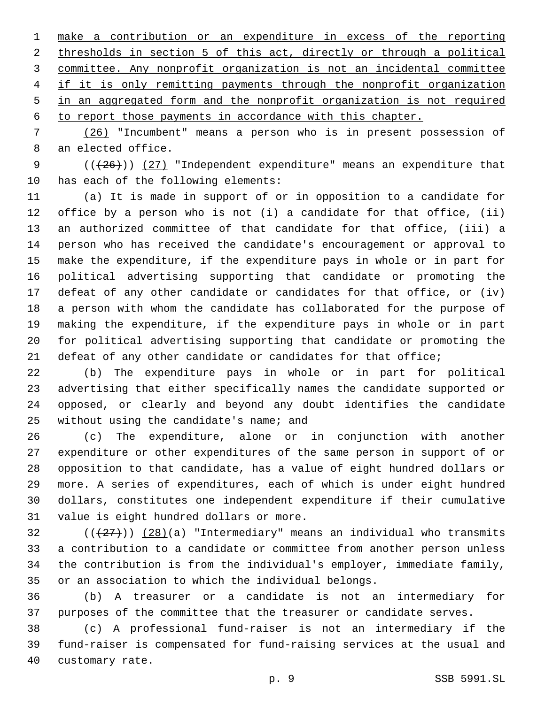make a contribution or an expenditure in excess of the reporting thresholds in section 5 of this act, directly or through a political committee. Any nonprofit organization is not an incidental committee if it is only remitting payments through the nonprofit organization in an aggregated form and the nonprofit organization is not required

to report those payments in accordance with this chapter.

 (26) "Incumbent" means a person who is in present possession of 8 an elected office.

9  $((+26))$   $(27)$  "Independent expenditure" means an expenditure that 10 has each of the following elements:

 (a) It is made in support of or in opposition to a candidate for office by a person who is not (i) a candidate for that office, (ii) an authorized committee of that candidate for that office, (iii) a person who has received the candidate's encouragement or approval to make the expenditure, if the expenditure pays in whole or in part for political advertising supporting that candidate or promoting the defeat of any other candidate or candidates for that office, or (iv) a person with whom the candidate has collaborated for the purpose of making the expenditure, if the expenditure pays in whole or in part for political advertising supporting that candidate or promoting the defeat of any other candidate or candidates for that office;

 (b) The expenditure pays in whole or in part for political advertising that either specifically names the candidate supported or opposed, or clearly and beyond any doubt identifies the candidate 25 without using the candidate's name; and

 (c) The expenditure, alone or in conjunction with another expenditure or other expenditures of the same person in support of or opposition to that candidate, has a value of eight hundred dollars or more. A series of expenditures, each of which is under eight hundred dollars, constitutes one independent expenditure if their cumulative 31 value is eight hundred dollars or more.

 ( $(\frac{27}{12})$ )  $(28)(a)$  "Intermediary" means an individual who transmits a contribution to a candidate or committee from another person unless the contribution is from the individual's employer, immediate family, or an association to which the individual belongs.

 (b) A treasurer or a candidate is not an intermediary for purposes of the committee that the treasurer or candidate serves.

 (c) A professional fund-raiser is not an intermediary if the fund-raiser is compensated for fund-raising services at the usual and 40 customary rate.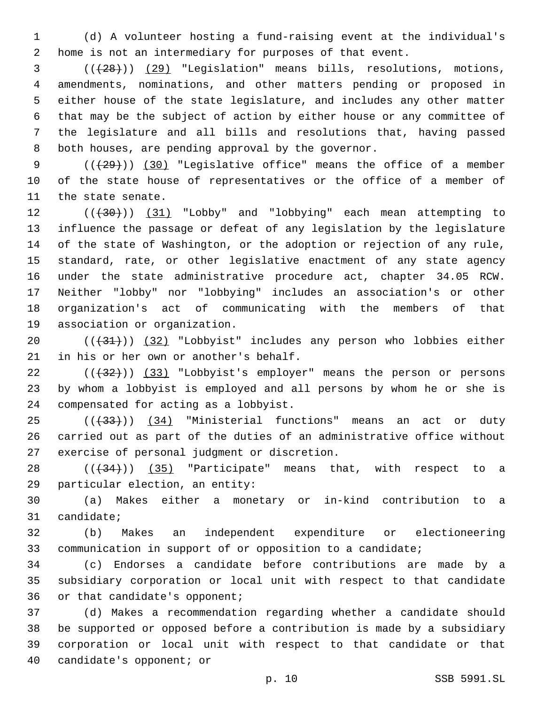(d) A volunteer hosting a fund-raising event at the individual's home is not an intermediary for purposes of that event.

 (((28))) (29) "Legislation" means bills, resolutions, motions, amendments, nominations, and other matters pending or proposed in either house of the state legislature, and includes any other matter that may be the subject of action by either house or any committee of the legislature and all bills and resolutions that, having passed 8 both houses, are pending approval by the governor.

9 (( $(29)$ )) (30) "Legislative office" means the office of a member of the state house of representatives or the office of a member of 11 the state senate.

12 (( $(30)$ ) (31) "Lobby" and "lobbying" each mean attempting to influence the passage or defeat of any legislation by the legislature of the state of Washington, or the adoption or rejection of any rule, standard, rate, or other legislative enactment of any state agency under the state administrative procedure act, chapter 34.05 RCW. Neither "lobby" nor "lobbying" includes an association's or other organization's act of communicating with the members of that 19 association or organization.

20 (( $\left(\frac{31}{1}\right)$ ) (32) "Lobbyist" includes any person who lobbies either 21 in his or her own or another's behalf.

 $((+32))$  (33) "Lobbyist's employer" means the person or persons by whom a lobbyist is employed and all persons by whom he or she is 24 compensated for acting as a lobbyist.

25 (( $(34)$  "Ministerial functions" means an act or duty carried out as part of the duties of an administrative office without 27 exercise of personal judgment or discretion.

 ( $(\overline{34})$ ) (35) "Participate" means that, with respect to a 29 particular election, an entity:

 (a) Makes either a monetary or in-kind contribution to a 31 candidate;

 (b) Makes an independent expenditure or electioneering communication in support of or opposition to a candidate;

 (c) Endorses a candidate before contributions are made by a subsidiary corporation or local unit with respect to that candidate 36 or that candidate's opponent;

 (d) Makes a recommendation regarding whether a candidate should be supported or opposed before a contribution is made by a subsidiary corporation or local unit with respect to that candidate or that 40 candidate's opponent; or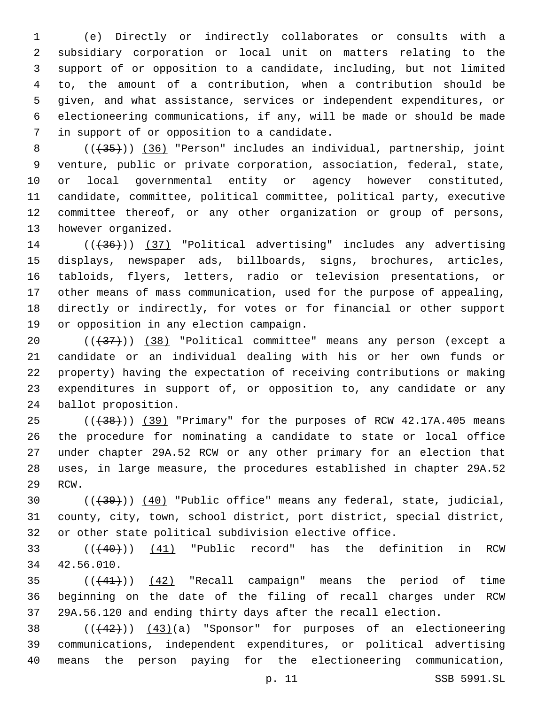(e) Directly or indirectly collaborates or consults with a subsidiary corporation or local unit on matters relating to the support of or opposition to a candidate, including, but not limited to, the amount of a contribution, when a contribution should be given, and what assistance, services or independent expenditures, or electioneering communications, if any, will be made or should be made 7 in support of or opposition to a candidate.

8 (( $(35)$ )) (36) "Person" includes an individual, partnership, joint venture, public or private corporation, association, federal, state, or local governmental entity or agency however constituted, candidate, committee, political committee, political party, executive committee thereof, or any other organization or group of persons, 13 however organized.

14 (( $(36)$ )) (37) "Political advertising" includes any advertising displays, newspaper ads, billboards, signs, brochures, articles, tabloids, flyers, letters, radio or television presentations, or other means of mass communication, used for the purpose of appealing, directly or indirectly, for votes or for financial or other support 19 or opposition in any election campaign.

20 (( $\left(\frac{37}{13}\right)$ ) (38) "Political committee" means any person (except a candidate or an individual dealing with his or her own funds or property) having the expectation of receiving contributions or making expenditures in support of, or opposition to, any candidate or any 24 ballot proposition.

25 (( $+38$ ))) (39) "Primary" for the purposes of RCW 42.17A.405 means the procedure for nominating a candidate to state or local office under chapter 29A.52 RCW or any other primary for an election that uses, in large measure, the procedures established in chapter 29A.52 29 RCW.

30 (( $\left(\frac{39}{10}\right)$  (40) "Public office" means any federal, state, judicial, county, city, town, school district, port district, special district, or other state political subdivision elective office.

33 (( $(40)$ )) (41) "Public record" has the definition in RCW 42.56.010.34

 $((441))$   $(42)$  "Recall campaign" means the period of time beginning on the date of the filing of recall charges under RCW 29A.56.120 and ending thirty days after the recall election.

38  $((42))$   $(43)(a)$  "Sponsor" for purposes of an electioneering communications, independent expenditures, or political advertising means the person paying for the electioneering communication,

p. 11 SSB 5991.SL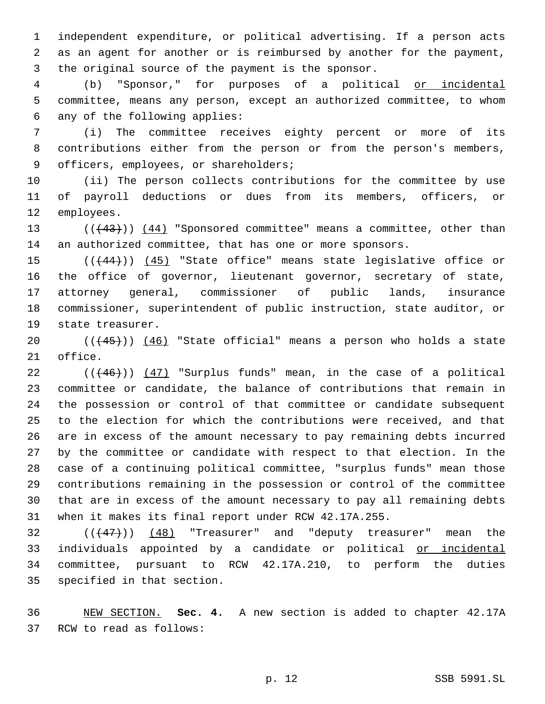independent expenditure, or political advertising. If a person acts as an agent for another or is reimbursed by another for the payment, 3 the original source of the payment is the sponsor.

 (b) "Sponsor," for purposes of a political or incidental committee, means any person, except an authorized committee, to whom 6 any of the following applies:

 (i) The committee receives eighty percent or more of its contributions either from the person or from the person's members, 9 officers, employees, or shareholders;

 (ii) The person collects contributions for the committee by use of payroll deductions or dues from its members, officers, or 12 employees.

13 (( $(43)$ )) (44) "Sponsored committee" means a committee, other than an authorized committee, that has one or more sponsors.

15 (( $(444)$ )) (45) "State office" means state legislative office or the office of governor, lieutenant governor, secretary of state, attorney general, commissioner of public lands, insurance commissioner, superintendent of public instruction, state auditor, or 19 state treasurer.

 $((45))$   $(46)$  "State official" means a person who holds a state 21 office.

 ( $(446)$ ))  $(47)$  "Surplus funds" mean, in the case of a political committee or candidate, the balance of contributions that remain in the possession or control of that committee or candidate subsequent to the election for which the contributions were received, and that are in excess of the amount necessary to pay remaining debts incurred by the committee or candidate with respect to that election. In the case of a continuing political committee, "surplus funds" mean those contributions remaining in the possession or control of the committee that are in excess of the amount necessary to pay all remaining debts when it makes its final report under RCW 42.17A.255.

  $((+47))$   $(48)$  "Treasurer" and "deputy treasurer" mean the 33 individuals appointed by a candidate or political or incidental committee, pursuant to RCW 42.17A.210, to perform the duties 35 specified in that section.

 NEW SECTION. **Sec. 4.** A new section is added to chapter 42.17A 37 RCW to read as follows: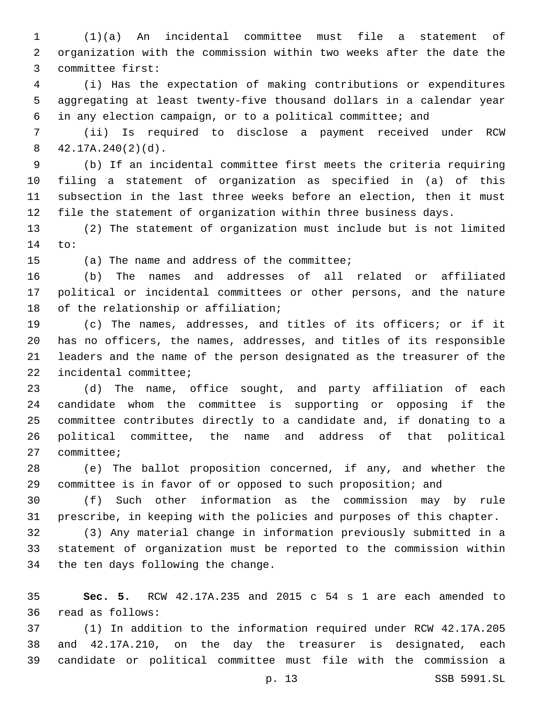(1)(a) An incidental committee must file a statement of organization with the commission within two weeks after the date the 3 committee first:

 (i) Has the expectation of making contributions or expenditures aggregating at least twenty-five thousand dollars in a calendar year in any election campaign, or to a political committee; and

 (ii) Is required to disclose a payment received under RCW  $42.17A.240(2)(d)$ .

 (b) If an incidental committee first meets the criteria requiring filing a statement of organization as specified in (a) of this subsection in the last three weeks before an election, then it must file the statement of organization within three business days.

 (2) The statement of organization must include but is not limited 14 to:

15 (a) The name and address of the committee;

 (b) The names and addresses of all related or affiliated political or incidental committees or other persons, and the nature 18 of the relationship or affiliation;

 (c) The names, addresses, and titles of its officers; or if it has no officers, the names, addresses, and titles of its responsible leaders and the name of the person designated as the treasurer of the 22 incidental committee;

 (d) The name, office sought, and party affiliation of each candidate whom the committee is supporting or opposing if the committee contributes directly to a candidate and, if donating to a political committee, the name and address of that political 27 committee;

 (e) The ballot proposition concerned, if any, and whether the committee is in favor of or opposed to such proposition; and

 (f) Such other information as the commission may by rule prescribe, in keeping with the policies and purposes of this chapter.

 (3) Any material change in information previously submitted in a statement of organization must be reported to the commission within 34 the ten days following the change.

 **Sec. 5.** RCW 42.17A.235 and 2015 c 54 s 1 are each amended to read as follows:36

 (1) In addition to the information required under RCW 42.17A.205 and 42.17A.210, on the day the treasurer is designated, each candidate or political committee must file with the commission a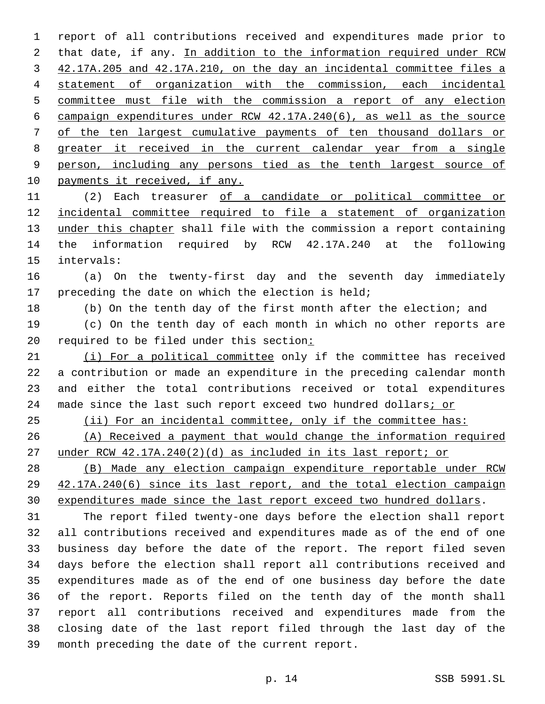report of all contributions received and expenditures made prior to that date, if any. In addition to the information required under RCW 42.17A.205 and 42.17A.210, on the day an incidental committee files a statement of organization with the commission, each incidental committee must file with the commission a report of any election campaign expenditures under RCW 42.17A.240(6), as well as the source of the ten largest cumulative payments of ten thousand dollars or greater it received in the current calendar year from a single person, including any persons tied as the tenth largest source of 10 payments it received, if any.

 (2) Each treasurer of a candidate or political committee or incidental committee required to file a statement of organization under this chapter shall file with the commission a report containing the information required by RCW 42.17A.240 at the following 15 intervals:

 (a) On the twenty-first day and the seventh day immediately 17 preceding the date on which the election is held;

(b) On the tenth day of the first month after the election; and

 (c) On the tenth day of each month in which no other reports are required to be filed under this section:

 (i) For a political committee only if the committee has received a contribution or made an expenditure in the preceding calendar month and either the total contributions received or total expenditures 24 made since the last such report exceed two hundred dollars; or

(ii) For an incidental committee, only if the committee has:

 (A) Received a payment that would change the information required under RCW 42.17A.240(2)(d) as included in its last report; or

 (B) Made any election campaign expenditure reportable under RCW 42.17A.240(6) since its last report, and the total election campaign expenditures made since the last report exceed two hundred dollars.

 The report filed twenty-one days before the election shall report all contributions received and expenditures made as of the end of one business day before the date of the report. The report filed seven days before the election shall report all contributions received and expenditures made as of the end of one business day before the date of the report. Reports filed on the tenth day of the month shall report all contributions received and expenditures made from the closing date of the last report filed through the last day of the 39 month preceding the date of the current report.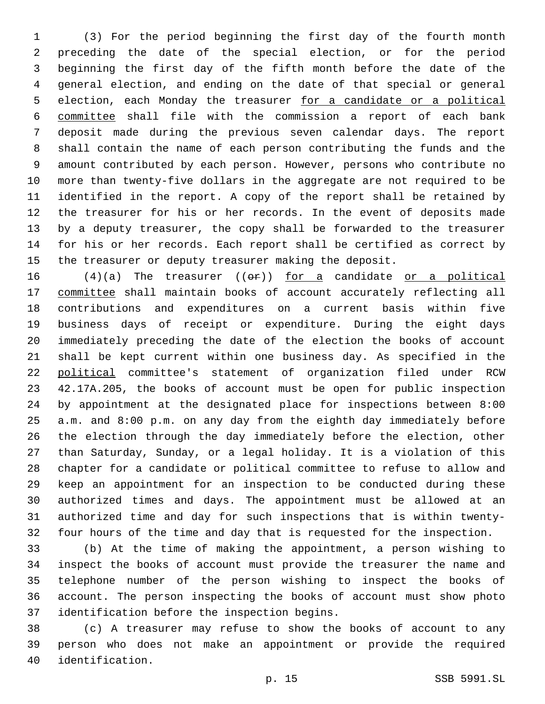(3) For the period beginning the first day of the fourth month preceding the date of the special election, or for the period beginning the first day of the fifth month before the date of the general election, and ending on the date of that special or general election, each Monday the treasurer for a candidate or a political committee shall file with the commission a report of each bank deposit made during the previous seven calendar days. The report shall contain the name of each person contributing the funds and the amount contributed by each person. However, persons who contribute no more than twenty-five dollars in the aggregate are not required to be identified in the report. A copy of the report shall be retained by the treasurer for his or her records. In the event of deposits made by a deputy treasurer, the copy shall be forwarded to the treasurer for his or her records. Each report shall be certified as correct by the treasurer or deputy treasurer making the deposit.

 $(4)(a)$  The treasurer  $((e \rightarrow e))$  for a candidate or a political committee shall maintain books of account accurately reflecting all contributions and expenditures on a current basis within five business days of receipt or expenditure. During the eight days immediately preceding the date of the election the books of account shall be kept current within one business day. As specified in the political committee's statement of organization filed under RCW 42.17A.205, the books of account must be open for public inspection by appointment at the designated place for inspections between 8:00 a.m. and 8:00 p.m. on any day from the eighth day immediately before the election through the day immediately before the election, other than Saturday, Sunday, or a legal holiday. It is a violation of this chapter for a candidate or political committee to refuse to allow and keep an appointment for an inspection to be conducted during these authorized times and days. The appointment must be allowed at an authorized time and day for such inspections that is within twenty-four hours of the time and day that is requested for the inspection.

 (b) At the time of making the appointment, a person wishing to inspect the books of account must provide the treasurer the name and telephone number of the person wishing to inspect the books of account. The person inspecting the books of account must show photo 37 identification before the inspection begins.

 (c) A treasurer may refuse to show the books of account to any person who does not make an appointment or provide the required 40 identification.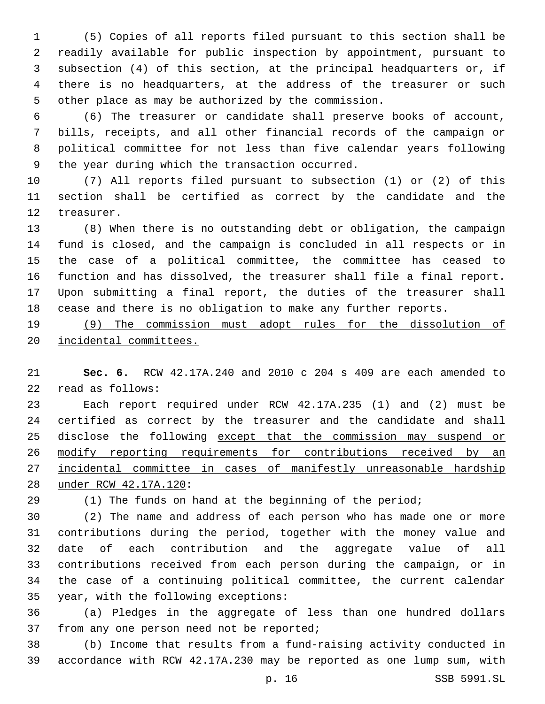(5) Copies of all reports filed pursuant to this section shall be readily available for public inspection by appointment, pursuant to subsection (4) of this section, at the principal headquarters or, if there is no headquarters, at the address of the treasurer or such other place as may be authorized by the commission.

 (6) The treasurer or candidate shall preserve books of account, bills, receipts, and all other financial records of the campaign or political committee for not less than five calendar years following 9 the year during which the transaction occurred.

 (7) All reports filed pursuant to subsection (1) or (2) of this section shall be certified as correct by the candidate and the 12 treasurer.

 (8) When there is no outstanding debt or obligation, the campaign fund is closed, and the campaign is concluded in all respects or in the case of a political committee, the committee has ceased to function and has dissolved, the treasurer shall file a final report. Upon submitting a final report, the duties of the treasurer shall cease and there is no obligation to make any further reports.

 (9) The commission must adopt rules for the dissolution of incidental committees.

 **Sec. 6.** RCW 42.17A.240 and 2010 c 204 s 409 are each amended to read as follows:22

 Each report required under RCW 42.17A.235 (1) and (2) must be certified as correct by the treasurer and the candidate and shall 25 disclose the following except that the commission may suspend or 26 modify reporting requirements for contributions received by an incidental committee in cases of manifestly unreasonable hardship under RCW 42.17A.120:28

(1) The funds on hand at the beginning of the period;

 (2) The name and address of each person who has made one or more contributions during the period, together with the money value and date of each contribution and the aggregate value of all contributions received from each person during the campaign, or in the case of a continuing political committee, the current calendar 35 year, with the following exceptions:

 (a) Pledges in the aggregate of less than one hundred dollars 37 from any one person need not be reported;

 (b) Income that results from a fund-raising activity conducted in accordance with RCW 42.17A.230 may be reported as one lump sum, with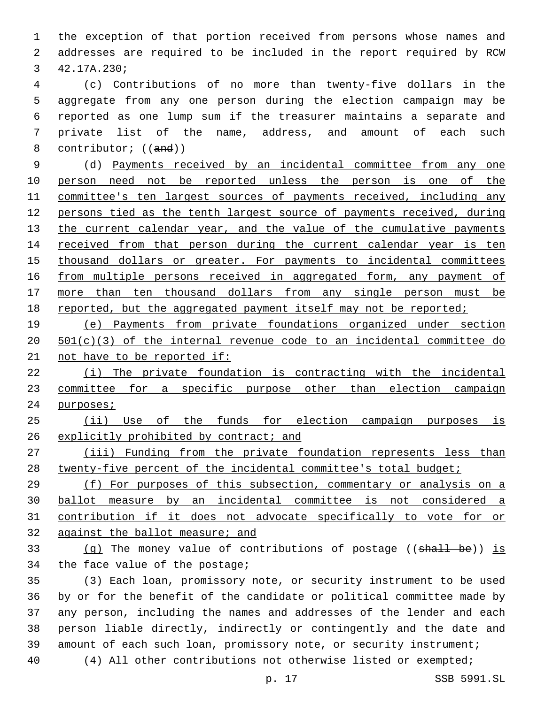the exception of that portion received from persons whose names and addresses are required to be included in the report required by RCW 3 42.17A.230;

 (c) Contributions of no more than twenty-five dollars in the aggregate from any one person during the election campaign may be reported as one lump sum if the treasurer maintains a separate and private list of the name, address, and amount of each such 8 contributor; ((and))

 (d) Payments received by an incidental committee from any one person need not be reported unless the person is one of the committee's ten largest sources of payments received, including any persons tied as the tenth largest source of payments received, during 13 the current calendar year, and the value of the cumulative payments 14 received from that person during the current calendar year is ten thousand dollars or greater. For payments to incidental committees 16 from multiple persons received in aggregated form, any payment of more than ten thousand dollars from any single person must be 18 reported, but the aggregated payment itself may not be reported;

 (e) Payments from private foundations organized under section 501(c)(3) of the internal revenue code to an incidental committee do 21 not have to be reported if:

 (i) The private foundation is contracting with the incidental committee for a specific purpose other than election campaign 24 purposes;

 (ii) Use of the funds for election campaign purposes is 26 explicitly prohibited by contract; and

 (iii) Funding from the private foundation represents less than 28 twenty-five percent of the incidental committee's total budget;

 (f) For purposes of this subsection, commentary or analysis on a ballot measure by an incidental committee is not considered a contribution if it does not advocate specifically to vote for or against the ballot measure; and

33 (q) The money value of contributions of postage  $((\text{shall } b\text{e}))$  is 34 the face value of the postage;

 (3) Each loan, promissory note, or security instrument to be used by or for the benefit of the candidate or political committee made by any person, including the names and addresses of the lender and each person liable directly, indirectly or contingently and the date and amount of each such loan, promissory note, or security instrument; (4) All other contributions not otherwise listed or exempted;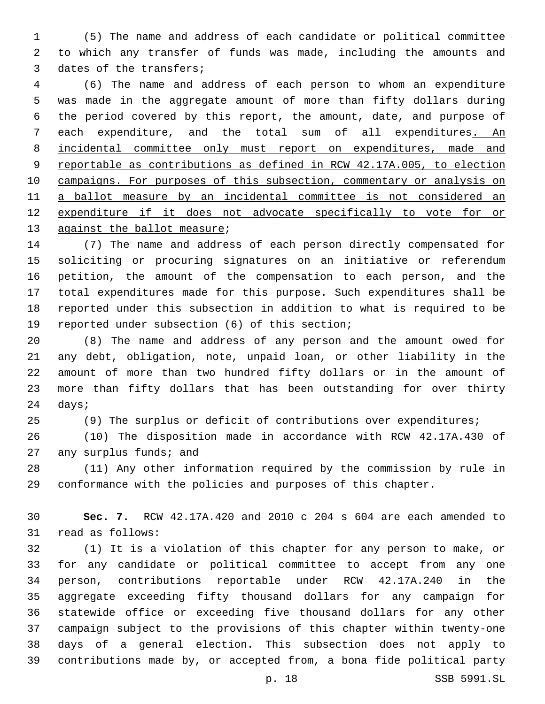(5) The name and address of each candidate or political committee to which any transfer of funds was made, including the amounts and 3 dates of the transfers;

 (6) The name and address of each person to whom an expenditure was made in the aggregate amount of more than fifty dollars during the period covered by this report, the amount, date, and purpose of each expenditure, and the total sum of all expenditures. An incidental committee only must report on expenditures, made and reportable as contributions as defined in RCW 42.17A.005, to election campaigns. For purposes of this subsection, commentary or analysis on a ballot measure by an incidental committee is not considered an expenditure if it does not advocate specifically to vote for or 13 against the ballot measure;

 (7) The name and address of each person directly compensated for soliciting or procuring signatures on an initiative or referendum petition, the amount of the compensation to each person, and the total expenditures made for this purpose. Such expenditures shall be reported under this subsection in addition to what is required to be 19 reported under subsection (6) of this section;

 (8) The name and address of any person and the amount owed for any debt, obligation, note, unpaid loan, or other liability in the amount of more than two hundred fifty dollars or in the amount of more than fifty dollars that has been outstanding for over thirty 24 days;

(9) The surplus or deficit of contributions over expenditures;

 (10) The disposition made in accordance with RCW 42.17A.430 of 27 any surplus funds; and

 (11) Any other information required by the commission by rule in conformance with the policies and purposes of this chapter.

 **Sec. 7.** RCW 42.17A.420 and 2010 c 204 s 604 are each amended to 31 read as follows:

 (1) It is a violation of this chapter for any person to make, or for any candidate or political committee to accept from any one person, contributions reportable under RCW 42.17A.240 in the aggregate exceeding fifty thousand dollars for any campaign for statewide office or exceeding five thousand dollars for any other campaign subject to the provisions of this chapter within twenty-one days of a general election. This subsection does not apply to contributions made by, or accepted from, a bona fide political party